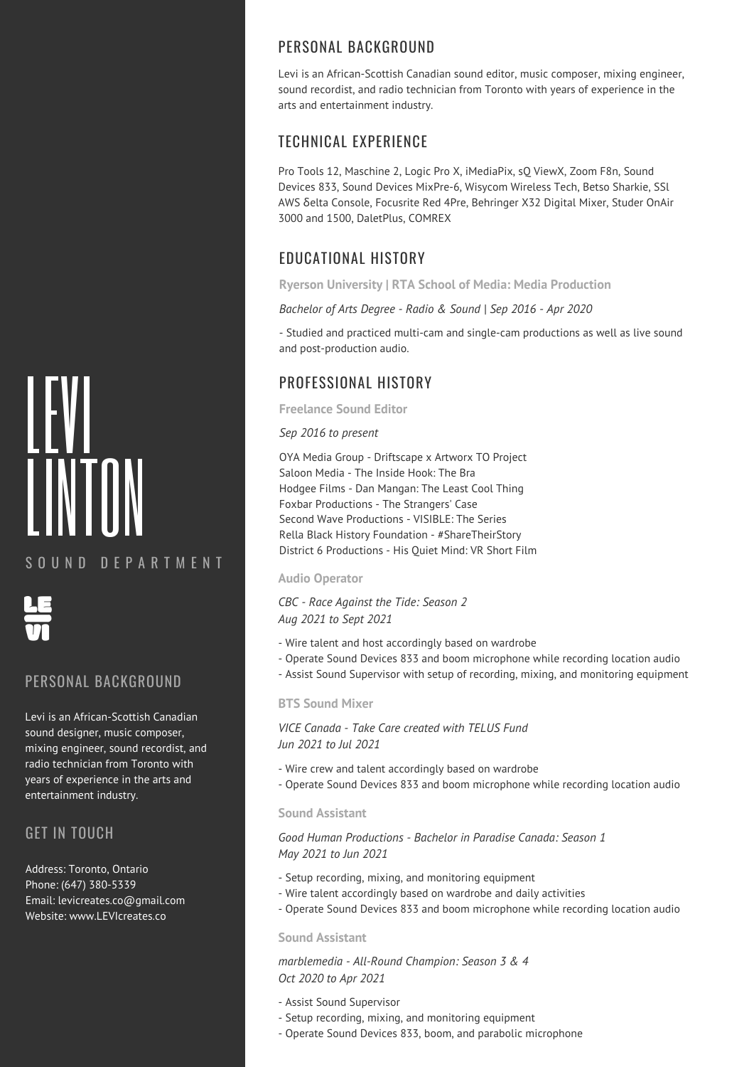# LEVI LINTON

## S O U N D D F P A R T M F N T



### PERSONAL BACKGROUND

Levi is an African-Scottish Canadian sound designer, music composer, mixing engineer, sound recordist, and radio technician from Toronto with years of experience in the arts and entertainment industry.

## GET IN TOUCH

Address: Toronto, Ontario Phone: (647) 380-5339 Email: levicreates.co@gmail.com Website: www.LEVIcreates.co

# PERSONAL BACKGROUND

Levi is an African-Scottish Canadian sound editor, music composer, mixing engineer, sound recordist, and radio technician from Toronto with years of experience in the arts and entertainment industry.

# TECHNICAL EXPERIENCE

Pro Tools 12, Maschine 2, Logic Pro X, iMediaPix, sQ ViewX, Zoom F8n, Sound Devices 833, Sound Devices MixPre-6, Wisycom Wireless Tech, Betso Sharkie, SSl AWS δelta Console, Focusrite Red 4Pre, Behringer X32 Digital Mixer, Studer OnAir 3000 and 1500, DaletPlus, COMREX

# EDUCATIONAL HISTORY

**Ryerson University | RTA School of Media: Media Production**

*Bachelor of Arts Degree - Radio & Sound | Sep 2016 - Apr 2020*

- Studied and practiced multi-cam and single-cam productions as well as live sound and post-production audio.

# PROFESSIONAL HISTORY

**Freelance Sound Editor**

#### *Sep 2016 to present*

OYA Media Group - Driftscape x Artworx TO Project Saloon Media - The Inside Hook: The Bra Hodgee Films - Dan Mangan: The Least Cool Thing Foxbar Productions - The Strangers' Case Second Wave Productions - VISIBLE: The Series Rella Black History Foundation - #ShareTheirStory District 6 Productions - His Quiet Mind: VR Short Film

#### **Audio Operator**

*CBC - Race Against the Tide: Season 2 Aug 2021 to Sept 2021*

- Wire talent and host accordingly based on wardrobe
- Operate Sound Devices 833 and boom microphone while recording location audio
- Assist Sound Supervisor with setup of recording, mixing, and monitoring equipment

#### **BTS Sound Mixer**

*VICE Canada - Take Care created with TELUS Fund Jun 2021 to Jul 2021*

- Wire crew and talent accordingly based on wardrobe
- Operate Sound Devices 833 and boom microphone while recording location audio

#### **Sound Assistant**

*Good Human Productions - Bachelor in Paradise Canada: Season 1 May 2021 to Jun 2021*

- Setup recording, mixing, and monitoring equipment
- Wire talent accordingly based on wardrobe and daily activities
- Operate Sound Devices 833 and boom microphone while recording location audio

#### **Sound Assistant**

*marblemedia - All-Round Champion: Season 3 & 4 Oct 2020 to Apr 2021*

- Assist Sound Supervisor
- Setup recording, mixing, and monitoring equipment
- Operate Sound Devices 833, boom, and parabolic microphone